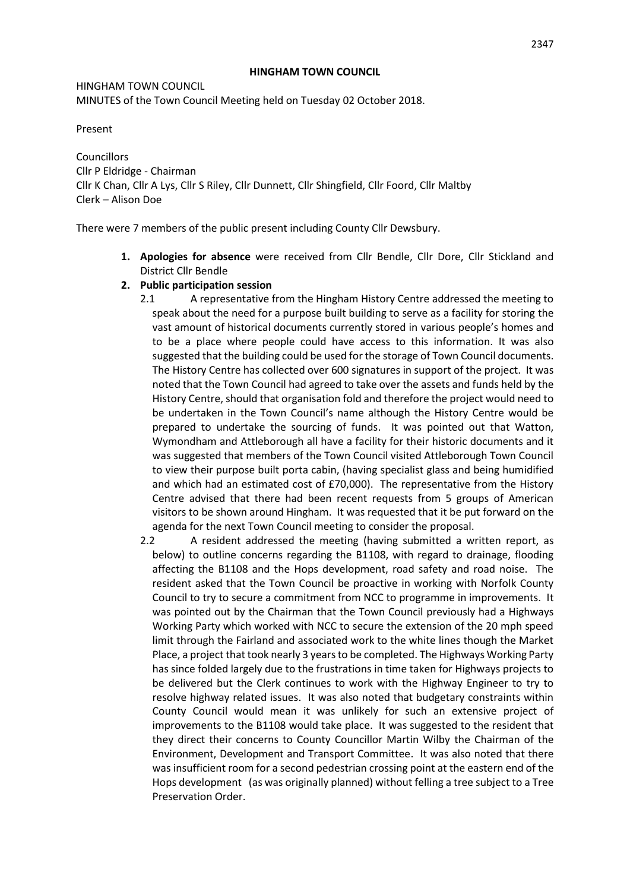#### **HINGHAM TOWN COUNCIL**

HINGHAM TOWN COUNCIL MINUTES of the Town Council Meeting held on Tuesday 02 October 2018.

Present

Councillors Cllr P Eldridge - Chairman Cllr K Chan, Cllr A Lys, Cllr S Riley, Cllr Dunnett, Cllr Shingfield, Cllr Foord, Cllr Maltby Clerk – Alison Doe

There were 7 members of the public present including County Cllr Dewsbury.

**1. Apologies for absence** were received from Cllr Bendle, Cllr Dore, Cllr Stickland and District Cllr Bendle

### **2. Public participation session**

- 2.1 A representative from the Hingham History Centre addressed the meeting to speak about the need for a purpose built building to serve as a facility for storing the vast amount of historical documents currently stored in various people's homes and to be a place where people could have access to this information. It was also suggested that the building could be used for the storage of Town Council documents. The History Centre has collected over 600 signatures in support of the project. It was noted that the Town Council had agreed to take over the assets and funds held by the History Centre, should that organisation fold and therefore the project would need to be undertaken in the Town Council's name although the History Centre would be prepared to undertake the sourcing of funds. It was pointed out that Watton, Wymondham and Attleborough all have a facility for their historic documents and it was suggested that members of the Town Council visited Attleborough Town Council to view their purpose built porta cabin, (having specialist glass and being humidified and which had an estimated cost of £70,000). The representative from the History Centre advised that there had been recent requests from 5 groups of American visitors to be shown around Hingham. It was requested that it be put forward on the agenda for the next Town Council meeting to consider the proposal.
- 2.2 A resident addressed the meeting (having submitted a written report, as below) to outline concerns regarding the B1108, with regard to drainage, flooding affecting the B1108 and the Hops development, road safety and road noise. The resident asked that the Town Council be proactive in working with Norfolk County Council to try to secure a commitment from NCC to programme in improvements. It was pointed out by the Chairman that the Town Council previously had a Highways Working Party which worked with NCC to secure the extension of the 20 mph speed limit through the Fairland and associated work to the white lines though the Market Place, a project that took nearly 3 years to be completed. The Highways Working Party has since folded largely due to the frustrations in time taken for Highways projects to be delivered but the Clerk continues to work with the Highway Engineer to try to resolve highway related issues. It was also noted that budgetary constraints within County Council would mean it was unlikely for such an extensive project of improvements to the B1108 would take place. It was suggested to the resident that they direct their concerns to County Councillor Martin Wilby the Chairman of the Environment, Development and Transport Committee. It was also noted that there was insufficient room for a second pedestrian crossing point at the eastern end of the Hops development (as was originally planned) without felling a tree subject to a Tree Preservation Order.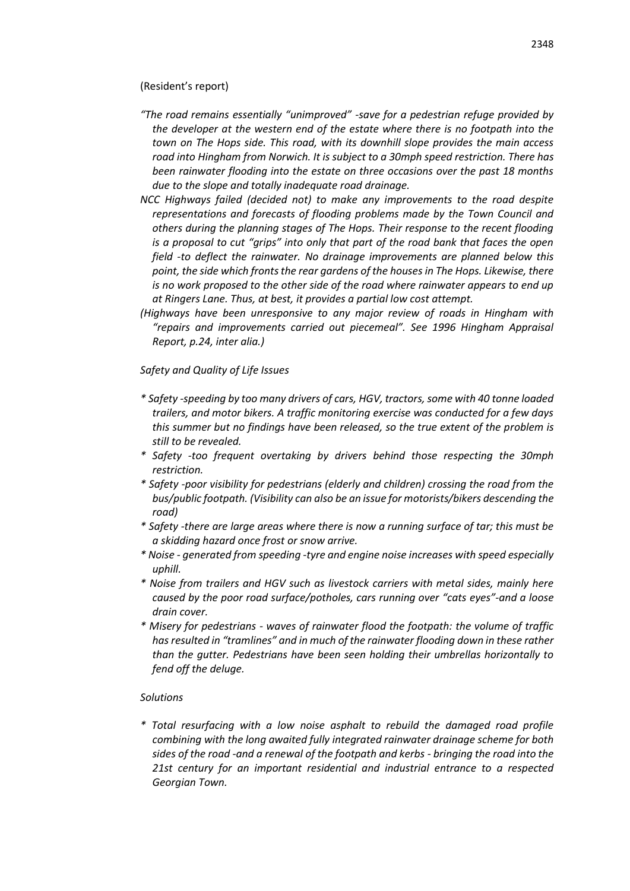(Resident's report)

- *"The road remains essentially "unimproved" -save for a pedestrian refuge provided by the developer at the western end of the estate where there is no footpath into the town on The Hops side. This road, with its downhill slope provides the main access road into Hingham from Norwich. It is subject to a 30mph speed restriction. There has been rainwater flooding into the estate on three occasions over the past 18 months due to the slope and totally inadequate road drainage.*
- *NCC Highways failed (decided not) to make any improvements to the road despite representations and forecasts of flooding problems made by the Town Council and others during the planning stages of The Hops. Their response to the recent flooding is a proposal to cut "grips" into only that part of the road bank that faces the open field -to deflect the rainwater. No drainage improvements are planned below this point, the side which fronts the rear gardens of the houses in The Hops. Likewise, there is no work proposed to the other side of the road where rainwater appears to end up at Ringers Lane. Thus, at best, it provides a partial low cost attempt.*
- *(Highways have been unresponsive to any major review of roads in Hingham with "repairs and improvements carried out piecemeal". See 1996 Hingham Appraisal Report, p.24, inter alia.)*

*Safety and Quality of Life Issues*

- *\* Safety -speeding by too many drivers of cars, HGV, tractors, some with 40 tonne loaded trailers, and motor bikers. A traffic monitoring exercise was conducted for a few days this summer but no findings have been released, so the true extent of the problem is still to be revealed.*
- *\* Safety -too frequent overtaking by drivers behind those respecting the 30mph restriction.*
- *\* Safety -poor visibility for pedestrians (elderly and children) crossing the road from the bus/public footpath. (Visibility can also be an issue for motorists/bikers descending the road)*
- *\* Safety -there are large areas where there is now a running surface of tar; this must be a skidding hazard once frost or snow arrive.*
- *\* Noise - generated from speeding -tyre and engine noise increases with speed especially uphill.*
- *\* Noise from trailers and HGV such as livestock carriers with metal sides, mainly here caused by the poor road surface/potholes, cars running over "cats eyes"-and a loose drain cover.*
- *\* Misery for pedestrians - waves of rainwater flood the footpath: the volume of traffic has resulted in "tramlines" and in much of the rainwater flooding down in these rather than the gutter. Pedestrians have been seen holding their umbrellas horizontally to fend off the deluge.*

### *Solutions*

*\* Total resurfacing with a low noise asphalt to rebuild the damaged road profile combining with the long awaited fully integrated rainwater drainage scheme for both sides of the road -and a renewal of the footpath and kerbs - bringing the road into the 21st century for an important residential and industrial entrance to a respected Georgian Town.*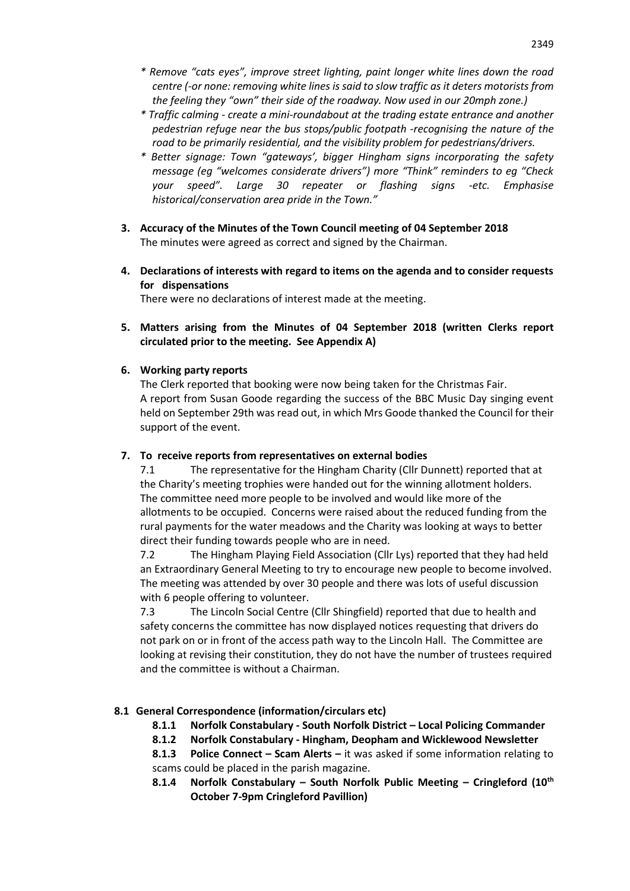- *\* Remove "cats eyes", improve street lighting, paint longer white lines down the road centre (-or none: removing white lines is said to slow traffic as it deters motorists from the feeling they "own" their side of the roadway. Now used in our 20mph zone.)*
- *\* Traffic calming - create a mini-roundabout at the trading estate entrance and another pedestrian refuge near the bus stops/public footpath -recognising the nature of the road to be primarily residential, and the visibility problem for pedestrians/drivers.*
- *\* Better signage: Town "gateways', bigger Hingham signs incorporating the safety message (eg "welcomes considerate drivers") more "Think" reminders to eg "Check your speed". Large 30 repeater or flashing signs -etc. Emphasise historical/conservation area pride in the Town."*
- **3. Accuracy of the Minutes of the Town Council meeting of 04 September 2018** The minutes were agreed as correct and signed by the Chairman.
- **4. Declarations of interests with regard to items on the agenda and to consider requests for dispensations**

There were no declarations of interest made at the meeting.

**5. Matters arising from the Minutes of 04 September 2018 (written Clerks report circulated prior to the meeting. See Appendix A)**

# **6. Working party reports**

The Clerk reported that booking were now being taken for the Christmas Fair. A report from Susan Goode regarding the success of the BBC Music Day singing event held on September 29th was read out, in which Mrs Goode thanked the Council for their support of the event.

# **7. To receive reports from representatives on external bodies**

7.1 The representative for the Hingham Charity (Cllr Dunnett) reported that at the Charity's meeting trophies were handed out for the winning allotment holders. The committee need more people to be involved and would like more of the allotments to be occupied. Concerns were raised about the reduced funding from the rural payments for the water meadows and the Charity was looking at ways to better direct their funding towards people who are in need.

7.2 The Hingham Playing Field Association (Cllr Lys) reported that they had held an Extraordinary General Meeting to try to encourage new people to become involved. The meeting was attended by over 30 people and there was lots of useful discussion with 6 people offering to volunteer.

7.3 The Lincoln Social Centre (Cllr Shingfield) reported that due to health and safety concerns the committee has now displayed notices requesting that drivers do not park on or in front of the access path way to the Lincoln Hall. The Committee are looking at revising their constitution, they do not have the number of trustees required and the committee is without a Chairman.

# **8.1 General Correspondence (information/circulars etc)**

- **8.1.1 Norfolk Constabulary - South Norfolk District – Local Policing Commander**
- **8.1.2 Norfolk Constabulary - Hingham, Deopham and Wicklewood Newsletter**

**8.1.3 Police Connect – Scam Alerts –** it was asked if some information relating to scams could be placed in the parish magazine.

**8.1.4 Norfolk Constabulary – South Norfolk Public Meeting – Cringleford (10th October 7-9pm Cringleford Pavillion)**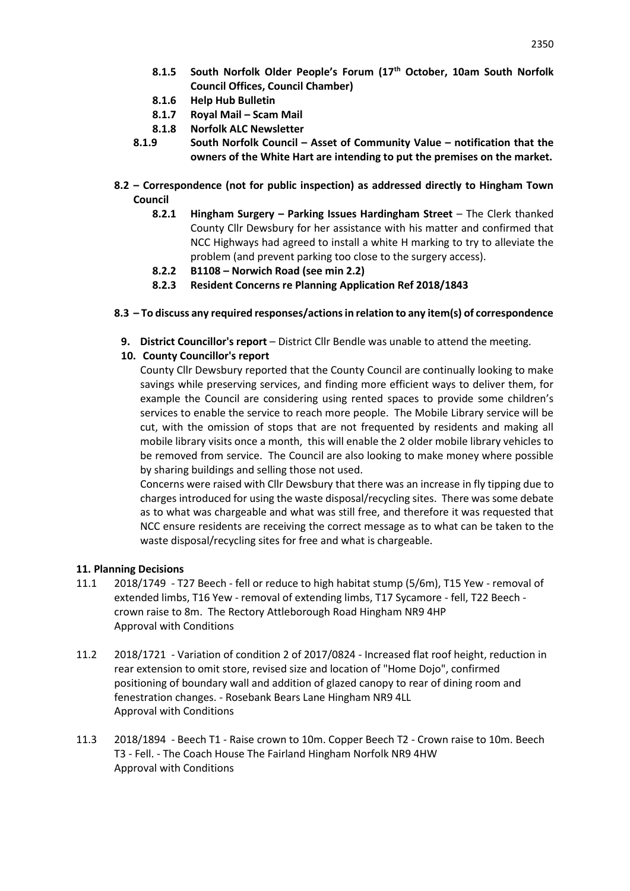- **8.1.5 South Norfolk Older People's Forum (17th October, 10am South Norfolk Council Offices, Council Chamber)**
- **8.1.6 Help Hub Bulletin**
- **8.1.7 Royal Mail – Scam Mail**
- **8.1.8 Norfolk ALC Newsletter**
- **8.1.9 South Norfolk Council – Asset of Community Value – notification that the owners of the White Hart are intending to put the premises on the market.**
- **8.2 – Correspondence (not for public inspection) as addressed directly to Hingham Town Council**
	- **8.2.1 Hingham Surgery – Parking Issues Hardingham Street** The Clerk thanked County Cllr Dewsbury for her assistance with his matter and confirmed that NCC Highways had agreed to install a white H marking to try to alleviate the problem (and prevent parking too close to the surgery access).
	- **8.2.2 B1108 – Norwich Road (see min 2.2)**
	- **8.2.3 Resident Concerns re Planning Application Ref 2018/1843**
- **8.3 – To discuss any required responses/actions in relation to any item(s) of correspondence** 
	- **9. District Councillor's report** District Cllr Bendle was unable to attend the meeting.

### **10. County Councillor's report**

County Cllr Dewsbury reported that the County Council are continually looking to make savings while preserving services, and finding more efficient ways to deliver them, for example the Council are considering using rented spaces to provide some children's services to enable the service to reach more people. The Mobile Library service will be cut, with the omission of stops that are not frequented by residents and making all mobile library visits once a month, this will enable the 2 older mobile library vehicles to be removed from service. The Council are also looking to make money where possible by sharing buildings and selling those not used.

Concerns were raised with Cllr Dewsbury that there was an increase in fly tipping due to charges introduced for using the waste disposal/recycling sites. There was some debate as to what was chargeable and what was still free, and therefore it was requested that NCC ensure residents are receiving the correct message as to what can be taken to the waste disposal/recycling sites for free and what is chargeable.

### **11. Planning Decisions**

- 11.1 2018/1749 T27 Beech fell or reduce to high habitat stump (5/6m), T15 Yew removal of extended limbs, T16 Yew - removal of extending limbs, T17 Sycamore - fell, T22 Beech crown raise to 8m. The Rectory Attleborough Road Hingham NR9 4HP Approval with Conditions
- 11.2 2018/1721 Variation of condition 2 of 2017/0824 Increased flat roof height, reduction in rear extension to omit store, revised size and location of "Home Dojo", confirmed positioning of boundary wall and addition of glazed canopy to rear of dining room and fenestration changes. - Rosebank Bears Lane Hingham NR9 4LL Approval with Conditions
- 11.3 2018/1894 Beech T1 Raise crown to 10m. Copper Beech T2 Crown raise to 10m. Beech T3 - Fell. - The Coach House The Fairland Hingham Norfolk NR9 4HW Approval with Conditions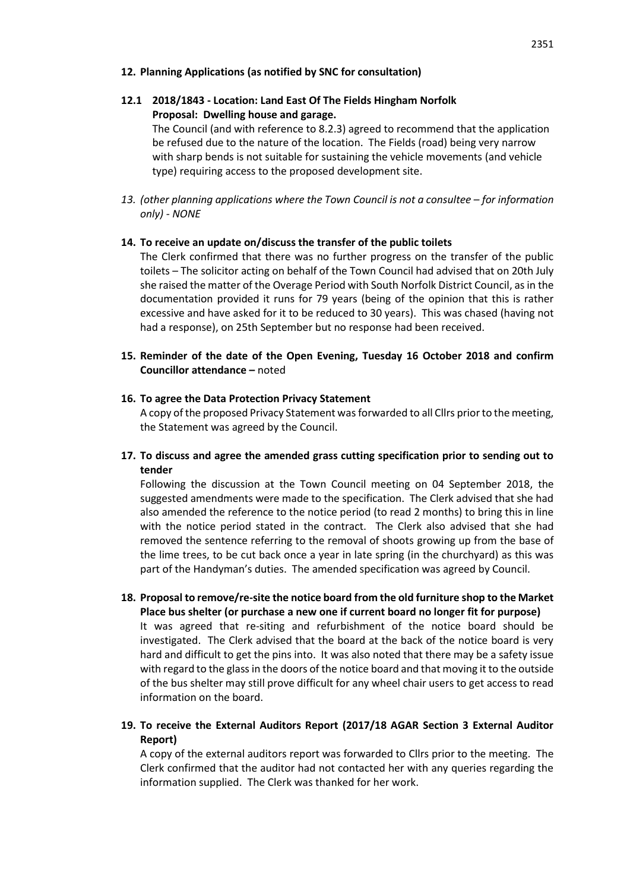### **12. Planning Applications (as notified by SNC for consultation)**

# **12.1 2018/1843 - Location: Land East Of The Fields Hingham Norfolk Proposal: Dwelling house and garage.**

The Council (and with reference to 8.2.3) agreed to recommend that the application be refused due to the nature of the location. The Fields (road) being very narrow with sharp bends is not suitable for sustaining the vehicle movements (and vehicle type) requiring access to the proposed development site.

*13. (other planning applications where the Town Council is not a consultee – for information only) - NONE*

#### **14. To receive an update on/discuss the transfer of the public toilets**

The Clerk confirmed that there was no further progress on the transfer of the public toilets – The solicitor acting on behalf of the Town Council had advised that on 20th July she raised the matter of the Overage Period with South Norfolk District Council, as in the documentation provided it runs for 79 years (being of the opinion that this is rather excessive and have asked for it to be reduced to 30 years). This was chased (having not had a response), on 25th September but no response had been received.

**15. Reminder of the date of the Open Evening, Tuesday 16 October 2018 and confirm Councillor attendance –** noted

#### **16. To agree the Data Protection Privacy Statement**

A copy of the proposed Privacy Statement was forwarded to all Cllrs prior to the meeting, the Statement was agreed by the Council.

### **17. To discuss and agree the amended grass cutting specification prior to sending out to tender**

Following the discussion at the Town Council meeting on 04 September 2018, the suggested amendments were made to the specification. The Clerk advised that she had also amended the reference to the notice period (to read 2 months) to bring this in line with the notice period stated in the contract. The Clerk also advised that she had removed the sentence referring to the removal of shoots growing up from the base of the lime trees, to be cut back once a year in late spring (in the churchyard) as this was part of the Handyman's duties. The amended specification was agreed by Council.

- **18. Proposal to remove/re-site the notice board from the old furniture shop to the Market Place bus shelter (or purchase a new one if current board no longer fit for purpose)** It was agreed that re-siting and refurbishment of the notice board should be investigated. The Clerk advised that the board at the back of the notice board is very hard and difficult to get the pins into. It was also noted that there may be a safety issue with regard to the glass in the doors of the notice board and that moving it to the outside of the bus shelter may still prove difficult for any wheel chair users to get access to read information on the board.
- **19. To receive the External Auditors Report (2017/18 AGAR Section 3 External Auditor Report)**

A copy of the external auditors report was forwarded to Cllrs prior to the meeting. The Clerk confirmed that the auditor had not contacted her with any queries regarding the information supplied. The Clerk was thanked for her work.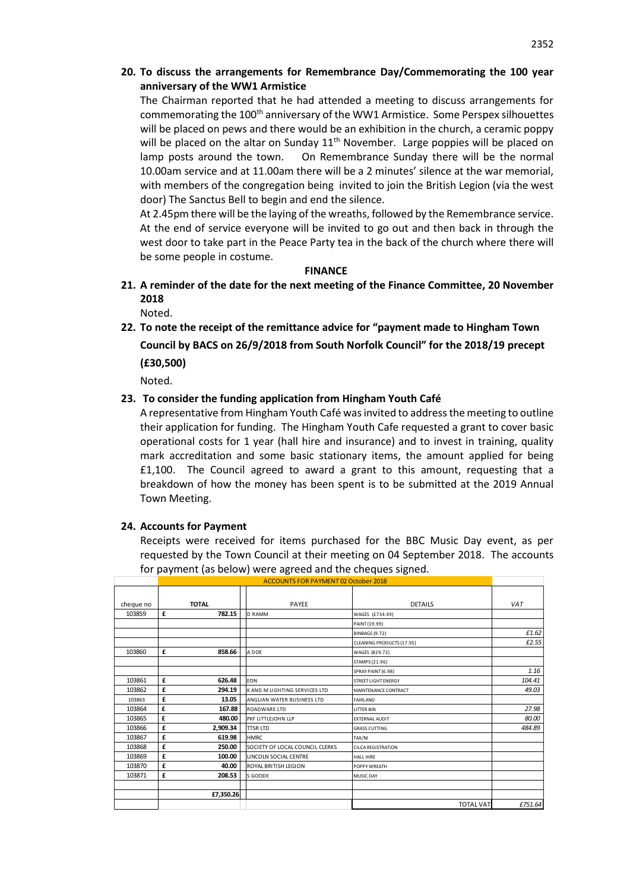# **20. To discuss the arrangements for Remembrance Day/Commemorating the 100 year anniversary of the WW1 Armistice**

The Chairman reported that he had attended a meeting to discuss arrangements for commemorating the 100<sup>th</sup> anniversary of the WW1 Armistice. Some Perspex silhouettes will be placed on pews and there would be an exhibition in the church, a ceramic poppy will be placed on the altar on Sunday  $11<sup>th</sup>$  November. Large poppies will be placed on lamp posts around the town. On Remembrance Sunday there will be the normal 10.00am service and at 11.00am there will be a 2 minutes' silence at the war memorial, with members of the congregation being invited to join the British Legion (via the west door) The Sanctus Bell to begin and end the silence.

At 2.45pm there will be the laying of the wreaths, followed by the Remembrance service. At the end of service everyone will be invited to go out and then back in through the west door to take part in the Peace Party tea in the back of the church where there will be some people in costume.

### **FINANCE**

**21. A reminder of the date for the next meeting of the Finance Committee, 20 November 2018**

Noted.

**22. To note the receipt of the remittance advice for "payment made to Hingham Town Council by BACS on 26/9/2018 from South Norfolk Council" for the 2018/19 precept (£30,500)**

Noted.

# **23. To consider the funding application from Hingham Youth Café**

A representative from Hingham Youth Café was invited to address the meeting to outline their application for funding. The Hingham Youth Cafe requested a grant to cover basic operational costs for 1 year (hall hire and insurance) and to invest in training, quality mark accreditation and some basic stationary items, the amount applied for being £1,100. The Council agreed to award a grant to this amount, requesting that a breakdown of how the money has been spent is to be submitted at the 2019 Annual Town Meeting.

### **24. Accounts for Payment**

Receipts were received for items purchased for the BBC Music Day event, as per requested by the Town Council at their meeting on 04 September 2018. The accounts for payment (as below) were agreed and the cheques signed.

|           |               | <b>ACCOUNTS FOR PAYMENT 02 October 2018</b> |                            |         |
|-----------|---------------|---------------------------------------------|----------------------------|---------|
| cheque no | <b>TOTAL</b>  | PAYEE                                       | <b>DETAILS</b>             | VAT     |
| 103859    | £<br>782.15   | <b>D RAMM</b>                               | WAGES (£734.49)            |         |
|           |               |                                             | PAINT (19.99)              |         |
|           |               |                                             | <b>BINBAGS (9.72)</b>      | £1.62   |
|           |               |                                             | CLEANING PRODUCTS (17.95)  | £2.55   |
| 103860    | £<br>858.66   | A DOE                                       | WAGES (829.72)             |         |
|           |               |                                             | <b>STAMPS (21.96)</b>      |         |
|           |               |                                             | SPRAY PAINT (6.98)         | 1.16    |
| 103861    | £<br>626.48   | <b>EON</b>                                  | <b>STREET LIGHT ENERGY</b> | 104.41  |
| 103862    | £<br>294.19   | K AND M LIGHTING SERVICES LTD               | MAINTENANCE CONTRACT       | 49.03   |
| 103863    | £<br>13.05    | ANGLIAN WATER BUSINESS LTD                  | <b>FAIRLAND</b>            |         |
| 103864    | £<br>167.88   | ROADWARE LTD                                | <b>LITTER BIN</b>          | 27.98   |
| 103865    | £<br>480.00   | PKF LITTLEJOHN LLP                          | <b>EXTERNAL AUDIT</b>      | 80.00   |
| 103866    | £<br>2.909.34 | <b>TTSR LTD</b>                             | <b>GRASS CUTTING</b>       | 484.89  |
| 103867    | £<br>619.98   | <b>HMRC</b>                                 | TAX/NI                     |         |
| 103868    | £<br>250.00   | SOCIETY OF LOCAL COUNCIL CLERKS             | <b>CILCA REGISTRATION</b>  |         |
| 103869    | £<br>100.00   | <b>LINCOLN SOCIAL CENTRE</b>                | <b>HALL HIRE</b>           |         |
| 103870    | £<br>40.00    | ROYAL BRITISH LEGION                        | POPPY WREATH               |         |
| 103871    | £<br>208.53   | S GOODE                                     | <b>MUSIC DAY</b>           |         |
|           |               |                                             |                            |         |
|           | £7,350.26     |                                             |                            |         |
|           |               |                                             | <b>TOTAL VAT</b>           | £751.64 |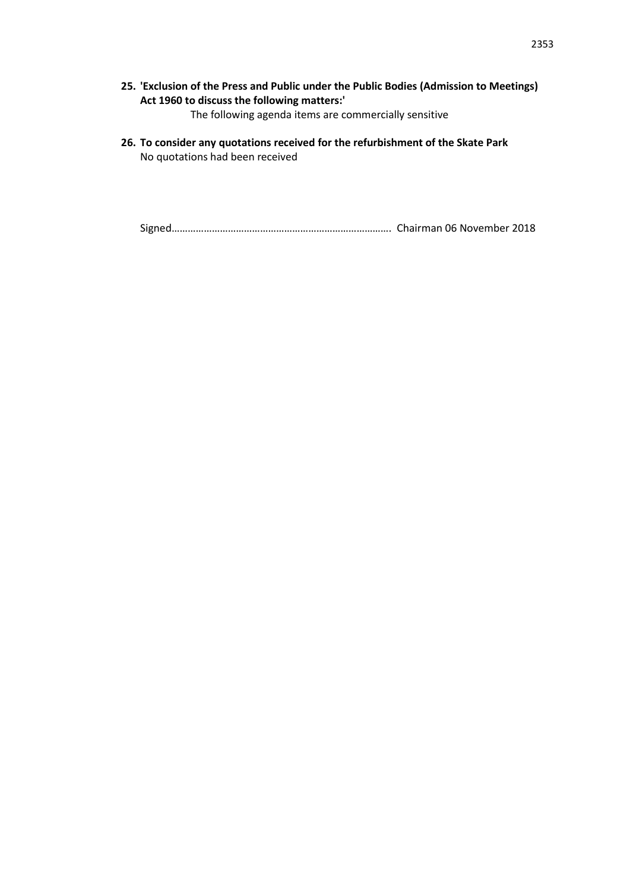**25. 'Exclusion of the Press and Public under the Public Bodies (Admission to Meetings) Act 1960 to discuss the following matters:'** 

The following agenda items are commercially sensitive

**26. To consider any quotations received for the refurbishment of the Skate Park** No quotations had been received

Signed………………………………………………………………………. Chairman 06 November 2018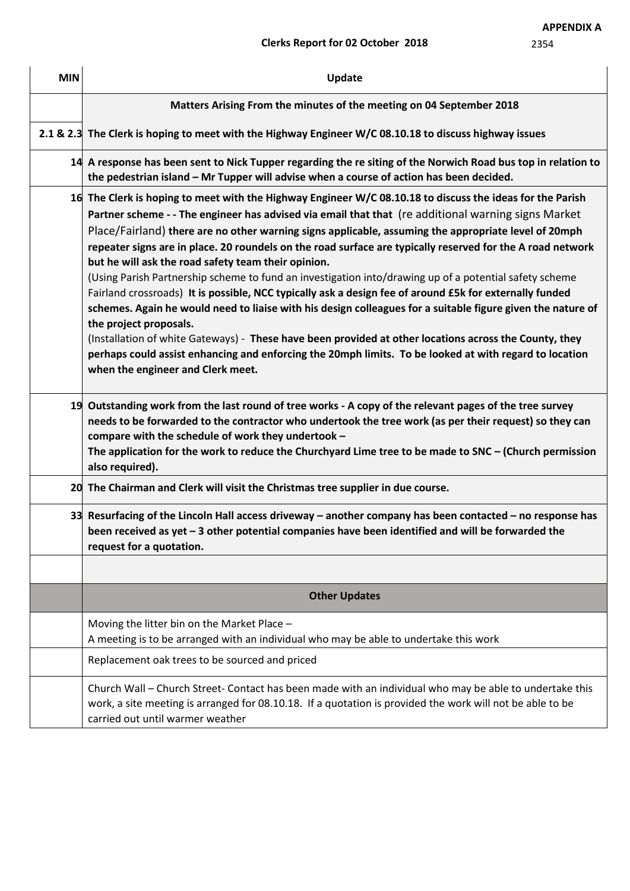| <b>MIN</b> | <b>Update</b>                                                                                                                                                                                                                                                                                                                                                                                                                                                                                                                                                                                                                                                                                                                                                                                                                                                                                                                                                                                                                                                                                                        |  |  |  |  |
|------------|----------------------------------------------------------------------------------------------------------------------------------------------------------------------------------------------------------------------------------------------------------------------------------------------------------------------------------------------------------------------------------------------------------------------------------------------------------------------------------------------------------------------------------------------------------------------------------------------------------------------------------------------------------------------------------------------------------------------------------------------------------------------------------------------------------------------------------------------------------------------------------------------------------------------------------------------------------------------------------------------------------------------------------------------------------------------------------------------------------------------|--|--|--|--|
|            | Matters Arising From the minutes of the meeting on 04 September 2018                                                                                                                                                                                                                                                                                                                                                                                                                                                                                                                                                                                                                                                                                                                                                                                                                                                                                                                                                                                                                                                 |  |  |  |  |
|            | 2.1 & 2.3 The Clerk is hoping to meet with the Highway Engineer W/C 08.10.18 to discuss highway issues                                                                                                                                                                                                                                                                                                                                                                                                                                                                                                                                                                                                                                                                                                                                                                                                                                                                                                                                                                                                               |  |  |  |  |
|            | 14 A response has been sent to Nick Tupper regarding the re siting of the Norwich Road bus top in relation to<br>the pedestrian island - Mr Tupper will advise when a course of action has been decided.                                                                                                                                                                                                                                                                                                                                                                                                                                                                                                                                                                                                                                                                                                                                                                                                                                                                                                             |  |  |  |  |
|            | 16 The Clerk is hoping to meet with the Highway Engineer W/C 08.10.18 to discuss the ideas for the Parish<br>Partner scheme - - The engineer has advised via email that that (re additional warning signs Market<br>Place/Fairland) there are no other warning signs applicable, assuming the appropriate level of 20mph<br>repeater signs are in place. 20 roundels on the road surface are typically reserved for the A road network<br>but he will ask the road safety team their opinion.<br>(Using Parish Partnership scheme to fund an investigation into/drawing up of a potential safety scheme<br>Fairland crossroads) It is possible, NCC typically ask a design fee of around £5k for externally funded<br>schemes. Again he would need to liaise with his design colleagues for a suitable figure given the nature of<br>the project proposals.<br>(Installation of white Gateways) - These have been provided at other locations across the County, they<br>perhaps could assist enhancing and enforcing the 20mph limits. To be looked at with regard to location<br>when the engineer and Clerk meet. |  |  |  |  |

**19 Outstanding work from the last round of tree works - A copy of the relevant pages of the tree survey needs to be forwarded to the contractor who undertook the tree work (as per their request) so they can compare with the schedule of work they undertook – The application for the work to reduce the Churchyard Lime tree to be made to SNC – (Church permission** 

**also required).**

# **20 The Chairman and Clerk will visit the Christmas tree supplier in due course.**

**33 Resurfacing of the Lincoln Hall access driveway – another company has been contacted – no response has been received as yet – 3 other potential companies have been identified and will be forwarded the request for a quotation.**

**Other Updates**

Moving the litter bin on the Market Place –

A meeting is to be arranged with an individual who may be able to undertake this work

Replacement oak trees to be sourced and priced

Church Wall – Church Street- Contact has been made with an individual who may be able to undertake this work, a site meeting is arranged for 08.10.18. If a quotation is provided the work will not be able to be carried out until warmer weather